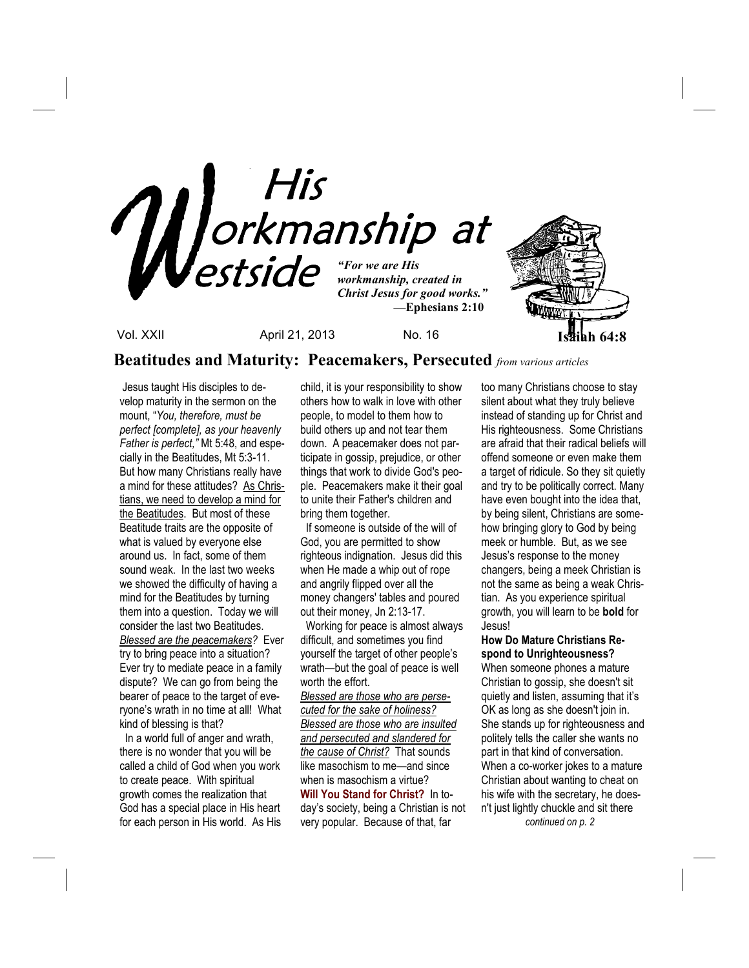

**Beatitudes and Maturity: Peacemakers, Persecuted** *from various articles*

 Jesus taught His disciples to develop maturity in the sermon on the mount, "*You, therefore, must be perfect [complete], as your heavenly Father is perfect,"* Mt 5:48, and especially in the Beatitudes, Mt 5:3-11. But how many Christians really have a mind for these attitudes? As Christians, we need to develop a mind for the Beatitudes. But most of these Beatitude traits are the opposite of what is valued by everyone else around us. In fact, some of them sound weak. In the last two weeks we showed the difficulty of having a mind for the Beatitudes by turning them into a question. Today we will consider the last two Beatitudes. *Blessed are the peacemakers?* Ever try to bring peace into a situation? Ever try to mediate peace in a family dispute? We can go from being the bearer of peace to the target of everyone's wrath in no time at all! What kind of blessing is that?

 In a world full of anger and wrath, there is no wonder that you will be called a child of God when you work to create peace. With spiritual growth comes the realization that God has a special place in His heart for each person in His world. As His child, it is your responsibility to show others how to walk in love with other people, to model to them how to build others up and not tear them down. A peacemaker does not participate in gossip, prejudice, or other things that work to divide God's people. Peacemakers make it their goal to unite their Father's children and bring them together.

If someone is outside of the will of God, you are permitted to show righteous indignation. Jesus did this when He made a whip out of rope and angrily flipped over all the money changers' tables and poured out their money, Jn 2:13-17.

 Working for peace is almost always difficult, and sometimes you find yourself the target of other people's wrath—but the goal of peace is well worth the effort.

*Blessed are those who are persecuted for the sake of holiness? Blessed are those who are insulted and persecuted and slandered for the cause of Christ?* That sounds like masochism to me—and since when is masochism a virtue? **Will You Stand for Christ?** In today's society, being a Christian is not very popular. Because of that, far

too many Christians choose to stay silent about what they truly believe instead of standing up for Christ and His righteousness. Some Christians are afraid that their radical beliefs will offend someone or even make them a target of ridicule. So they sit quietly and try to be politically correct. Many have even bought into the idea that, by being silent, Christians are somehow bringing glory to God by being meek or humble. But, as we see Jesus's response to the money changers, being a meek Christian is not the same as being a weak Christian. As you experience spiritual growth, you will learn to be **bold** for Jesus!

### **How Do Mature Christians Respond to Unrighteousness?**

When someone phones a mature Christian to gossip, she doesn't sit quietly and listen, assuming that it's OK as long as she doesn't join in. She stands up for righteousness and politely tells the caller she wants no part in that kind of conversation. When a co-worker jokes to a mature Christian about wanting to cheat on his wife with the secretary, he doesn't just lightly chuckle and sit there *continued on p. 2*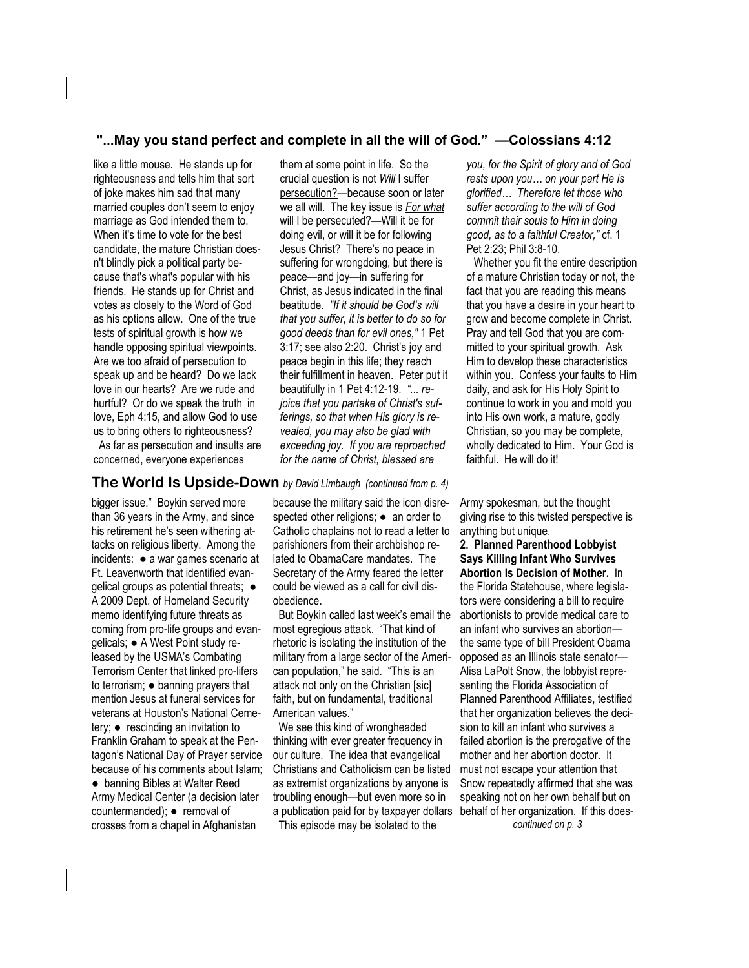### **"...May you stand perfect and complete in all the will of God." —Colossians 4:12**

like a little mouse. He stands up for righteousness and tells him that sort of joke makes him sad that many married couples don't seem to enjoy marriage as God intended them to. When it's time to vote for the best candidate, the mature Christian doesn't blindly pick a political party because that's what's popular with his friends. He stands up for Christ and votes as closely to the Word of God as his options allow. One of the true tests of spiritual growth is how we handle opposing spiritual viewpoints. Are we too afraid of persecution to speak up and be heard? Do we lack love in our hearts? Are we rude and hurtful? Or do we speak the truth in love, Eph 4:15, and allow God to use us to bring others to righteousness? As far as persecution and insults are concerned, everyone experiences

them at some point in life. So the crucial question is not *Will* I suffer persecution?—because soon or later we all will. The key issue is *For what* will I be persecuted?—Will it be for doing evil, or will it be for following Jesus Christ? There's no peace in suffering for wrongdoing, but there is peace—and joy—in suffering for Christ, as Jesus indicated in the final beatitude. *"If it should be God's will that you suffer, it is better to do so for good deeds than for evil ones,"* 1 Pet 3:17; see also 2:20. Christ's joy and peace begin in this life; they reach their fulfillment in heaven. Peter put it beautifully in 1 Pet 4:12-19. *"... rejoice that you partake of Christ's sufferings, so that when His glory is revealed, you may also be glad with exceeding joy. If you are reproached for the name of Christ, blessed are* 

### **The World Is Upside-Down** *by David Limbaugh (continued from p. 4)*

bigger issue." Boykin served more than 36 years in the Army, and since his retirement he's seen withering attacks on religious liberty. Among the incidents: ● a war games scenario at Ft. Leavenworth that identified evangelical groups as potential threats; ● A 2009 Dept. of Homeland Security memo identifying future threats as coming from pro-life groups and evangelicals; ● A West Point study released by the USMA's Combating Terrorism Center that linked pro-lifers to terrorism; ● banning prayers that mention Jesus at funeral services for veterans at Houston's National Cemetery; ● rescinding an invitation to Franklin Graham to speak at the Pentagon's National Day of Prayer service because of his comments about Islam; ● banning Bibles at Walter Reed Army Medical Center (a decision later countermanded); ● removal of crosses from a chapel in Afghanistan

because the military said the icon disrespected other religions; • an order to Catholic chaplains not to read a letter to parishioners from their archbishop related to ObamaCare mandates. The Secretary of the Army feared the letter could be viewed as a call for civil disobedience.

 But Boykin called last week's email the most egregious attack. "That kind of rhetoric is isolating the institution of the military from a large sector of the American population," he said. "This is an attack not only on the Christian [sic] faith, but on fundamental, traditional American values."

 We see this kind of wrongheaded thinking with ever greater frequency in our culture. The idea that evangelical Christians and Catholicism can be listed as extremist organizations by anyone is troubling enough—but even more so in a publication paid for by taxpayer dollars This episode may be isolated to the

*you, for the Spirit of glory and of God rests upon you… on your part He is glorified… Therefore let those who suffer according to the will of God commit their souls to Him in doing good, as to a faithful Creator,"* cf. 1 Pet 2:23; Phil 3:8-10.

 Whether you fit the entire description of a mature Christian today or not, the fact that you are reading this means that you have a desire in your heart to grow and become complete in Christ. Pray and tell God that you are committed to your spiritual growth. Ask Him to develop these characteristics within you. Confess your faults to Him daily, and ask for His Holy Spirit to continue to work in you and mold you into His own work, a mature, godly Christian, so you may be complete, wholly dedicated to Him. Your God is faithful. He will do it!

Army spokesman, but the thought giving rise to this twisted perspective is anything but unique.

**2. Planned Parenthood Lobbyist Says Killing Infant Who Survives Abortion Is Decision of Mother.** In the Florida Statehouse, where legislators were considering a bill to require abortionists to provide medical care to an infant who survives an abortion the same type of bill President Obama opposed as an Illinois state senator— Alisa LaPolt Snow, the lobbyist representing the Florida Association of Planned Parenthood Affiliates, testified that her organization believes the decision to kill an infant who survives a failed abortion is the prerogative of the mother and her abortion doctor. It must not escape your attention that Snow repeatedly affirmed that she was speaking not on her own behalf but on behalf of her organization. If this does*continued on p. 3*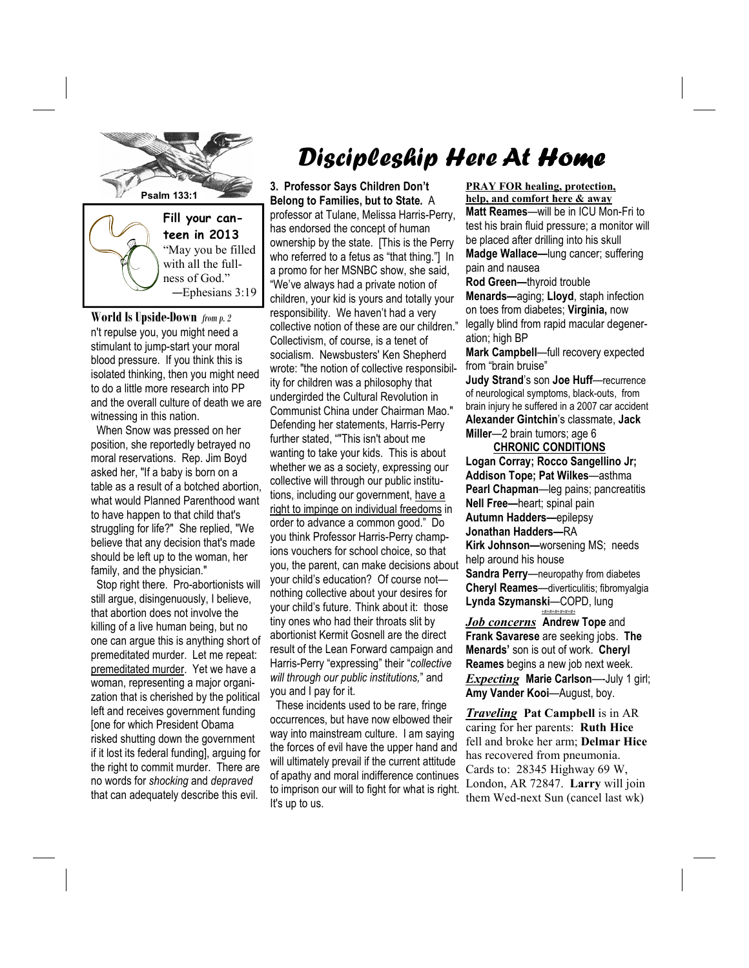

with all the fullness of God." —Ephesians 3:19

**World Is Upside-Down** *from p. 2*  n't repulse you, you might need a stimulant to jump-start your moral blood pressure. If you think this is isolated thinking, then you might need to do a little more research into PP and the overall culture of death we are witnessing in this nation.

 When Snow was pressed on her position, she reportedly betrayed no moral reservations. Rep. Jim Boyd asked her, "If a baby is born on a table as a result of a botched abortion, what would Planned Parenthood want to have happen to that child that's struggling for life?" She replied, "We believe that any decision that's made should be left up to the woman, her family, and the physician."

 Stop right there. Pro-abortionists will still argue, disingenuously, I believe, that abortion does not involve the killing of a live human being, but no one can argue this is anything short of premeditated murder. Let me repeat: premeditated murder. Yet we have a woman, representing a major organization that is cherished by the political left and receives government funding [one for which President Obama risked shutting down the government if it lost its federal funding], arguing for the right to commit murder. There are no words for *shocking* and *depraved*  that can adequately describe this evil.

# Discipleship Here At Home

**3. Professor Says Children Don't Belong to Families, but to State.** A professor at Tulane, Melissa Harris-Perry, has endorsed the concept of human ownership by the state. [This is the Perry who referred to a fetus as "that thing."] In a promo for her MSNBC show, she said, "We've always had a private notion of children, your kid is yours and totally your responsibility. We haven't had a very collective notion of these are our children." Collectivism, of course, is a tenet of socialism. Newsbusters' Ken Shepherd wrote: "the notion of collective responsibility for children was a philosophy that undergirded the Cultural Revolution in Communist China under Chairman Mao." Defending her statements, Harris-Perry further stated, ""This isn't about me wanting to take your kids. This is about whether we as a society, expressing our collective will through our public institutions, including our government, have a right to impinge on individual freedoms in order to advance a common good." Do you think Professor Harris-Perry champions vouchers for school choice, so that you, the parent, can make decisions about your child's education? Of course not nothing collective about your desires for your child's future. Think about it: those tiny ones who had their throats slit by abortionist Kermit Gosnell are the direct result of the Lean Forward campaign and Harris-Perry "expressing" their "*collective will through our public institutions,*" and you and I pay for it.

 These incidents used to be rare, fringe occurrences, but have now elbowed their way into mainstream culture. I am saying the forces of evil have the upper hand and will ultimately prevail if the current attitude of apathy and moral indifference continues to imprison our will to fight for what is right. It's up to us.

**PRAY FOR healing, protection, help, and comfort here & away Matt Reames**—will be in ICU Mon-Fri to test his brain fluid pressure; a monitor will be placed after drilling into his skull **Madge Wallace—**lung cancer; suffering pain and nausea

**Rod Green—**thyroid trouble **Menards—**aging; **Lloyd**, staph infection on toes from diabetes; **Virginia,** now legally blind from rapid macular degeneration; high BP

**Mark Campbell**—full recovery expected from "brain bruise"

**Judy Strand**'s son **Joe Huff**—recurrence of neurological symptoms, black-outs, from brain injury he suffered in a 2007 car accident **Alexander Gintchin**'s classmate, **Jack Miller**—2 brain tumors; age 6

 **CHRONIC CONDITIONS Logan Corray; Rocco Sangellino Jr; Addison Tope; Pat Wilkes**—asthma **Pearl Chapman**—leg pains; pancreatitis **Nell Free—**heart; spinal pain **Autumn Hadders—**epilepsy **Jonathan Hadders—**RA **Kirk Johnson—**worsening MS; needs help around his house **Sandra Perry**—neuropathy from diabetes **Cheryl Reames**—diverticulitis; fibromyalgia **Lynda Szymanski**—COPD, lung *+#+#+#+#+#+#+*

*Job concerns* **Andrew Tope** and **Frank Savarese** are seeking jobs. **The Menards'** son is out of work. **Cheryl Reames** begins a new job next week. *Expecting* **Marie Carlson**—-July 1 girl; **Amy Vander Kooi**—August, boy.

*Traveling* **Pat Campbell** is in AR caring for her parents: **Ruth Hice**  fell and broke her arm; **Delmar Hice**  has recovered from pneumonia. Cards to: 28345 Highway 69 W, London, AR 72847. **Larry** will join them Wed-next Sun (cancel last wk)